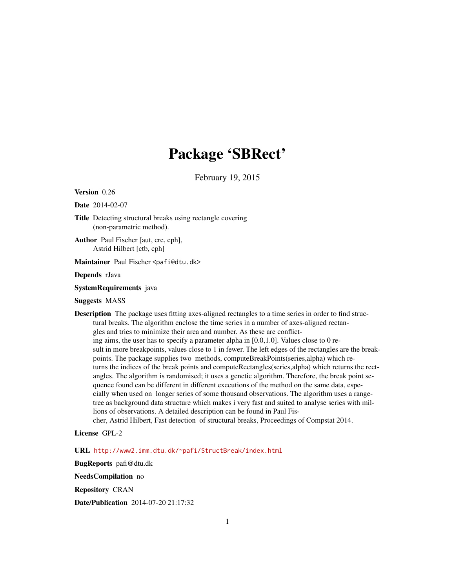## Package 'SBRect'

February 19, 2015

Version 0.26

Date 2014-02-07

Title Detecting structural breaks using rectangle covering (non-parametric method).

Author Paul Fischer [aut, cre, cph], Astrid Hilbert [ctb, cph]

Maintainer Paul Fischer <pafi@dtu.dk>

Depends rJava

SystemRequirements java

Suggests MASS

Description The package uses fitting axes-aligned rectangles to a time series in order to find structural breaks. The algorithm enclose the time series in a number of axes-aligned rectangles and tries to minimize their area and number. As these are conflicting aims, the user has to specify a parameter alpha in [0.0,1.0]. Values close to 0 result in more breakpoints, values close to 1 in fewer. The left edges of the rectangles are the breakpoints. The package supplies two methods, computeBreakPoints(series,alpha) which returns the indices of the break points and computeRectangles(series,alpha) which returns the rectangles. The algorithm is randomised; it uses a genetic algorithm. Therefore, the break point sequence found can be different in different executions of the method on the same data, especially when used on longer series of some thousand observations. The algorithm uses a rangetree as background data structure which makes i very fast and suited to analyse series with millions of observations. A detailed description can be found in Paul Fischer, Astrid Hilbert, Fast detection of structural breaks, Proceedings of Compstat 2014.

License GPL-2

URL <http://www2.imm.dtu.dk/~pafi/StructBreak/index.html>

BugReports pafi@dtu.dk

NeedsCompilation no

Repository CRAN

Date/Publication 2014-07-20 21:17:32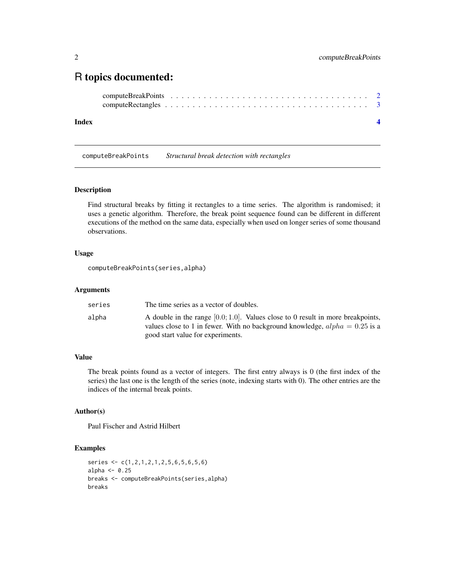### <span id="page-1-0"></span>R topics documented:

#### **Index** [4](#page-3-0)

computeBreakPoints *Structural break detection with rectangles*

#### Description

Find structural breaks by fitting it rectangles to a time series. The algorithm is randomised; it uses a genetic algorithm. Therefore, the break point sequence found can be different in different executions of the method on the same data, especially when used on longer series of some thousand observations.

#### Usage

computeBreakPoints(series,alpha)

#### Arguments

| series | The time series as a vector of doubles.                                                                                                                                                                  |
|--------|----------------------------------------------------------------------------------------------------------------------------------------------------------------------------------------------------------|
| alpha  | A double in the range $[0.0; 1.0]$ . Values close to 0 result in more breakpoints,<br>values close to 1 in fewer. With no background knowledge, $alpha = 0.25$ is a<br>good start value for experiments. |

#### Value

The break points found as a vector of integers. The first entry always is 0 (the first index of the series) the last one is the length of the series (note, indexing starts with 0). The other entries are the indices of the internal break points.

#### Author(s)

Paul Fischer and Astrid Hilbert

#### Examples

```
series <- c(1,2,1,2,1,2,5,6,5,6,5,6)
alpha <- 0.25
breaks <- computeBreakPoints(series,alpha)
breaks
```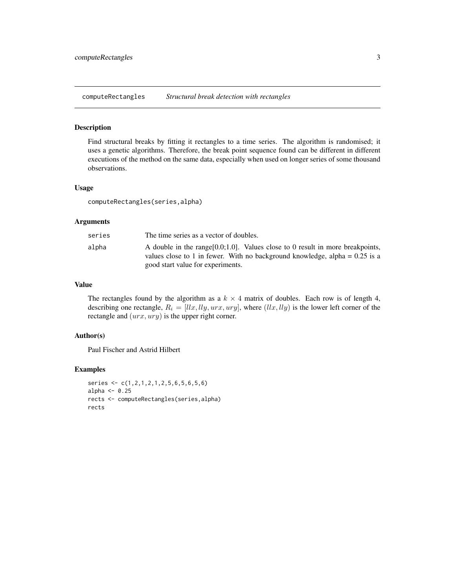<span id="page-2-0"></span>computeRectangles *Structural break detection with rectangles*

#### Description

Find structural breaks by fitting it rectangles to a time series. The algorithm is randomised; it uses a genetic algorithms. Therefore, the break point sequence found can be different in different executions of the method on the same data, especially when used on longer series of some thousand observations.

#### Usage

computeRectangles(series,alpha)

#### Arguments

| series | The time series as a vector of doubles.                                                                                                                                                                  |
|--------|----------------------------------------------------------------------------------------------------------------------------------------------------------------------------------------------------------|
| alpha  | A double in the range $[0.0; 1.0]$ . Values close to 0 result in more breakpoints,<br>values close to 1 in fewer. With no background knowledge, alpha = $0.25$ is a<br>good start value for experiments. |

#### Value

The rectangles found by the algorithm as a  $k \times 4$  matrix of doubles. Each row is of length 4, describing one rectangle,  $R_i = [llx, lly, urx, ury]$ , where  $(llx, lly)$  is the lower left corner of the rectangle and  $(urr,ury)$  is the upper right corner.

#### Author(s)

Paul Fischer and Astrid Hilbert

#### Examples

```
series <- c(1,2,1,2,1,2,5,6,5,6,5,6)
alpha <- 0.25
rects <- computeRectangles(series,alpha)
rects
```